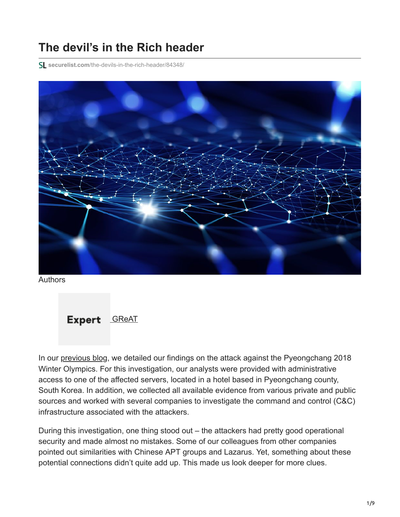## **The devil's in the Rich header**

**securelist.com**[/the-devils-in-the-rich-header/84348/](https://securelist.com/the-devils-in-the-rich-header/84348/)



Authors



In our [previous blog](https://securelist.com/olympicdestroyer-is-here-to-trick-the-industry/84295/), we detailed our findings on the attack against the Pyeongchang 2018 Winter Olympics. For this investigation, our analysts were provided with administrative access to one of the affected servers, located in a hotel based in Pyeongchang county, South Korea. In addition, we collected all available evidence from various private and public sources and worked with several companies to investigate the command and control (C&C) infrastructure associated with the attackers.

During this investigation, one thing stood out – the attackers had pretty good operational security and made almost no mistakes. Some of our colleagues from other companies pointed out similarities with Chinese APT groups and Lazarus. Yet, something about these potential connections didn't quite add up. This made us look deeper for more clues.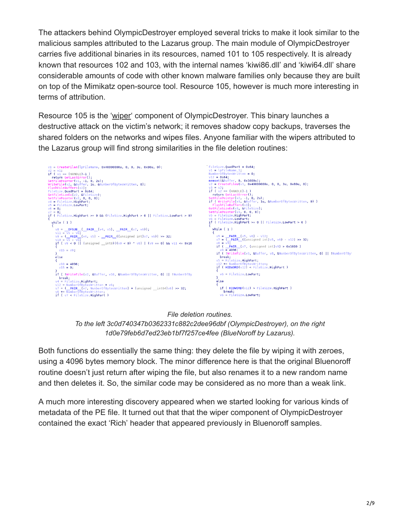The attackers behind OlympicDestroyer employed several tricks to make it look similar to the malicious samples attributed to the Lazarus group. The main module of OlympicDestroyer carries five additional binaries in its resources, named 101 to 105 respectively. It is already known that resources 102 and 103, with the internal names 'kiwi86.dll' and 'kiwi64.dll' share considerable amounts of code with other known malware families only because they are built on top of the Mimikatz open-source tool. Resource 105, however is much more interesting in terms of attribution.

Resource 105 is the '[wiper](https://encyclopedia.kaspersky.com/glossary/wiper/?utm_source=securelist&utm_medium=blog&utm_campaign=termin-explanation)' component of OlympicDestroyer. This binary launches a destructive attack on the victim's network; it removes shadow copy backups, traverses the shared folders on the networks and wipes files. Anyone familiar with the wipers attributed to the Lazarus group will find strong similarities in the file deletion routines:



*File deletion routines. To the left 3c0d740347b0362331c882c2dee96dbf (OlympicDestroyer), on the right 1d0e79feb6d7ed23eb1bf7f257ce4fee (BlueNoroff by Lazarus).*

Both functions do essentially the same thing: they delete the file by wiping it with zeroes, using a 4096 bytes memory block. The minor difference here is that the original Bluenoroff routine doesn't just return after wiping the file, but also renames it to a new random name and then deletes it. So, the similar code may be considered as no more than a weak link.

A much more interesting discovery appeared when we started looking for various kinds of metadata of the PE file. It turned out that that the wiper component of OlympicDestroyer contained the exact 'Rich' header that appeared previously in Bluenoroff samples.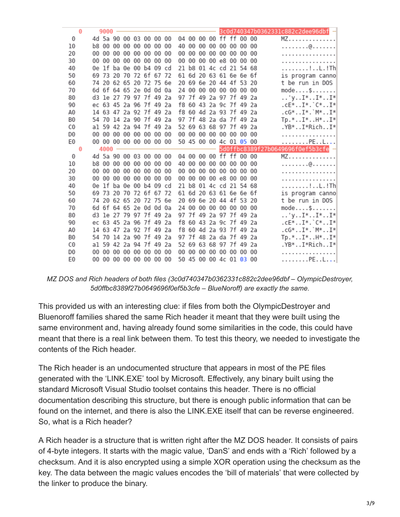|                | Θ |    | 9000 |                         |  |  |    |    |    |  |                         |  | 3c0d740347b0362331c882c2dee96dbf -              |
|----------------|---|----|------|-------------------------|--|--|----|----|----|--|-------------------------|--|-------------------------------------------------|
| 0              |   |    |      | 4d 5a 90 00 03 00 00 00 |  |  |    |    |    |  | 04 00 00 00 ff ff 00 00 |  | MZ.                                             |
| 10             |   |    |      | b8 00 00 00 00 00 00 00 |  |  |    | 40 |    |  | 00 00 00 00 00 00 00    |  | . @.                                            |
| 20             |   |    |      | 00 00 00 00 00 00 00 00 |  |  |    | 00 | 00 |  | 00 00 00 00 00 00       |  | .                                               |
| 30             |   | 00 |      | 00 00 00 00 00 00 00    |  |  |    | 00 |    |  | 00 00 00 e8 00 00 00    |  | .                                               |
| 40             |   |    |      | 0e lf ba 0e 00 b4 09 cd |  |  |    | 21 |    |  | b8 01 4c cd 21 54 68    |  | . ! L . ! Th                                    |
| 50             |   |    |      | 69 73 20 70 72 6f 67 72 |  |  |    | 61 |    |  | 6d 20 63 61 6e 6e 6f    |  | is program canno                                |
| 60             |   |    |      | 74 20 62 65 20 72 75 6e |  |  |    |    |    |  | 20 69 6e 20 44 4f 53 20 |  | t be run in DOS                                 |
| 70             |   |    |      | 6d 6f 64 65 2e 0d 0d 0a |  |  |    |    |    |  | 24 00 00 00 00 00 00 00 |  | mode\$                                          |
| 80             |   |    |      | d3 le 27 79 97 7f 49 2a |  |  |    | 97 |    |  | 7f 49 2a 97 7f 49 2a    |  | $\ldots$ 'y $\ldots$ I* $\ldots$ I* $\ldots$ I* |
| 90             |   |    |      | ec 63 45 2a 96 7f 49 2a |  |  |    | f8 |    |  | 60 43 2a 9c 7f 49 2a    |  | .cE*I*.`C*I*                                    |
| A0             |   |    |      | 14 63 47 2a 92 7f 49 2a |  |  |    | f8 |    |  | 60 4d 2a 93 7f 49 2a    |  | .cG*I*.`M*I*                                    |
| B0             |   |    |      | 54 70 14 2a 90 7f 49 2a |  |  |    |    |    |  | 97 7f 48 2a da 7f 49 2a |  | $Tp.*I*.H*.I*.$                                 |
| C0             |   |    |      | al 59 42 2a 94 7f 49 2a |  |  |    |    |    |  | 52 69 63 68 97 7f 49 2a |  | .YB*I*RichI*                                    |
| D <sub>0</sub> |   |    |      | 00 00 00 00 00 00 00 00 |  |  |    | 00 |    |  | 00 00 00 00 00 00 00    |  | .                                               |
| E0             |   |    |      | 00 00 00 00 00 00 00 00 |  |  |    |    |    |  | 50 45 00 00 4c 01 05 00 |  | . PE L                                          |
|                |   |    |      |                         |  |  |    |    |    |  |                         |  |                                                 |
|                | Θ |    | 4000 |                         |  |  |    |    |    |  |                         |  | 5d0ffbc8389f27b0649696f0ef5b3cfe =              |
| 0              |   |    |      | 4d 5a 90 00 03 00 00 00 |  |  |    |    |    |  | 04 00 00 00 ff ff 00 00 |  | MZ.                                             |
| 10             |   |    |      | b8 00 00 00 00 00 00 00 |  |  |    | 40 |    |  | 00 00 00 00 00 00 00    |  | . @.                                            |
| 20             |   |    |      | 00 00 00 00 00 00 00 00 |  |  |    | 00 | 00 |  | 00 00 00 00 00 00       |  | .                                               |
| 30             |   |    |      | 00 00 00 00 00 00 00 00 |  |  |    | 00 |    |  | 00 00 00 e8 00 00 00    |  | .                                               |
| 40             |   |    |      | 0e lf ba 0e 00 b4 09 cd |  |  |    | 21 |    |  | b8 01 4c cd 21 54 68    |  | . ! L . ! Th                                    |
| 50             |   |    |      | 69 73 20 70 72 6f 67 72 |  |  |    | 61 |    |  | 6d 20 63 61 6e 6e 6f    |  | is program canno                                |
| 60             |   |    |      | 74 20 62 65 20 72 75 6e |  |  |    | 20 |    |  | 69 6e 20 44 4f 53 20    |  | t be run in DOS                                 |
| 70             |   |    |      | 6d 6f 64 65 2e 0d 0d 0a |  |  |    |    |    |  | 24 00 00 00 00 00 00 00 |  | mode\$                                          |
| 80             |   |    |      | d3 le 27 79 97 7f 49 2a |  |  |    |    |    |  | 97 7f 49 2a 97 7f 49 2a |  | 'yI*I*I*                                        |
| 90             |   |    |      | ec 63 45 2a 96 7f 49 2a |  |  |    |    |    |  | f8 60 43 2a 9c 7f 49 2a |  | .cE*I*.`C*I*                                    |
| A0             |   |    |      | 14 63 47 2a 92 7f 49 2a |  |  |    | f8 |    |  | 60 4d 2a 93 7f 49 2a    |  | .cG*I*.`M*I*                                    |
| B0             |   |    |      | 54 70 14 2a 90 7f 49 2a |  |  |    | 97 |    |  | 7f 48 2a da 7f 49 2a    |  | $Tp.*. . I*. . H*. . I*$                        |
| C0             |   |    |      | al 59 42 2a 94 7f 49 2a |  |  |    |    |    |  | 52 69 63 68 97 7f 49 2a |  | .YB*I*RichI*                                    |
| D <sub>0</sub> |   |    |      | 00 00 00 00 00 00 00    |  |  | 00 | 00 |    |  | 00 00 00 00 00 00 00    |  | .                                               |

*MZ DOS and Rich headers of both files (3c0d740347b0362331c882c2dee96dbf – OlympicDestroyer, 5d0ffbc8389f27b0649696f0ef5b3cfe – BlueNoroff) are exactly the same.*

This provided us with an interesting clue: if files from both the OlympicDestroyer and Bluenoroff families shared the same Rich header it meant that they were built using the same environment and, having already found some similarities in the code, this could have meant that there is a real link between them. To test this theory, we needed to investigate the contents of the Rich header.

The Rich header is an undocumented structure that appears in most of the PE files generated with the 'LINK.EXE' tool by Microsoft. Effectively, any binary built using the standard Microsoft Visual Studio toolset contains this header. There is no official documentation describing this structure, but there is enough public information that can be found on the internet, and there is also the LINK.EXE itself that can be reverse engineered. So, what is a Rich header?

A Rich header is a structure that is written right after the MZ DOS header. It consists of pairs of 4-byte integers. It starts with the magic value, 'DanS' and ends with a 'Rich' followed by a checksum. And it is also encrypted using a simple XOR operation using the checksum as the key. The data between the magic values encodes the 'bill of materials' that were collected by the linker to produce the binary.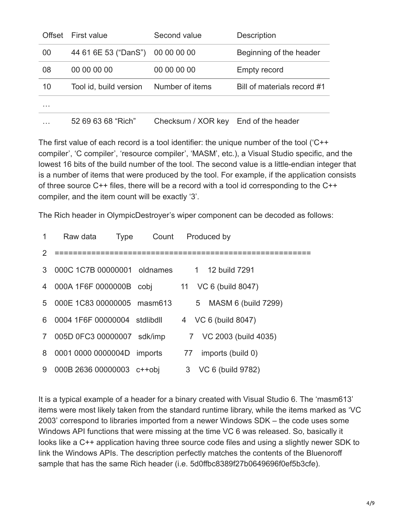| Offset | First value            | Second value       | <b>Description</b>          |
|--------|------------------------|--------------------|-----------------------------|
| 00     | 44 61 6E 53 ("DanS")   | 00 00 00 00        | Beginning of the header     |
| 08     | 00 00 00 00            | 00 00 00 00        | <b>Empty record</b>         |
| 10     | Tool id, build version | Number of items    | Bill of materials record #1 |
| .      |                        |                    |                             |
|        | 52 69 63 68 "Rich"     | Checksum / XOR key | End of the header           |

The first value of each record is a tool identifier: the unique number of the tool ('C++ compiler', 'C compiler', 'resource compiler', 'MASM', etc.), a Visual Studio specific, and the lowest 16 bits of the build number of the tool. The second value is a little-endian integer that is a number of items that were produced by the tool. For example, if the application consists of three source C++ files, there will be a record with a tool id corresponding to the C++ compiler, and the item count will be exactly '3'.

The Rich header in OlympicDestroyer's wiper component can be decoded as follows:

| 1             | Raw data                               | Type Count | Produced by             |
|---------------|----------------------------------------|------------|-------------------------|
| $\mathcal{P}$ | ====================================== |            |                         |
|               | 3 000C 1C7B 00000001 oldnames          |            | 1 12 build 7291         |
|               | 4 000A 1F6F 0000000B cobj              |            | 11 VC 6 (build 8047)    |
|               | 5 000E 1C83 00000005 masm613           |            | 5 MASM 6 (build 7299)   |
| 6.            | 0004 1F6F 00000004 stdlibdll           |            | 4 VC 6 (build 8047)     |
| $7^{\circ}$   | 005D 0FC3 00000007 sdk/imp             |            | 7 VC 2003 (build 4035)  |
| 8             | 0001 0000 0000004D imports             |            | imports (build 0)<br>77 |
| 9             | 000B 2636 00000003 c++obj              |            | 3 VC 6 (build 9782)     |

It is a typical example of a header for a binary created with Visual Studio 6. The 'masm613' items were most likely taken from the standard runtime library, while the items marked as 'VC 2003' correspond to libraries imported from a newer Windows SDK – the code uses some Windows API functions that were missing at the time VC 6 was released. So, basically it looks like a C++ application having three source code files and using a slightly newer SDK to link the Windows APIs. The description perfectly matches the contents of the Bluenoroff sample that has the same Rich header (i.e. 5d0ffbc8389f27b0649696f0ef5b3cfe).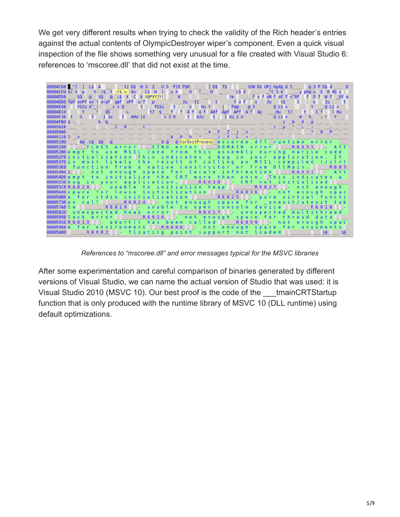We get very different results when trying to check the validity of the Rich header's entries against the actual contents of OlympicDestroyer wiper's component. Even a quick visual inspection of the file shows something very unusual for a file created with Visual Studio 6: references to 'mscoree.dll' that did not exist at the time.



*References to "mscoree.dll" and error messages typical for the MSVC libraries*

After some experimentation and careful comparison of binaries generated by different versions of Visual Studio, we can name the actual version of Studio that was used: it is Visual Studio 2010 (MSVC 10). Our best proof is the code of the tmainCRTStartup function that is only produced with the runtime library of MSVC 10 (DLL runtime) using default optimizations.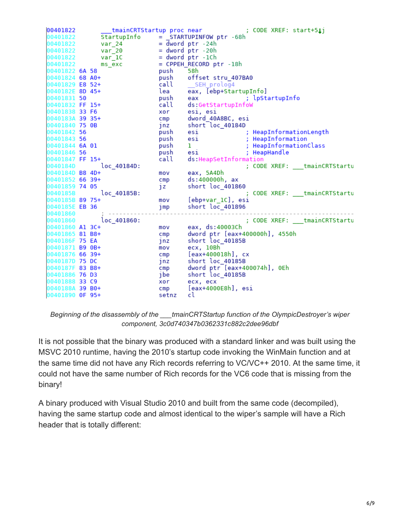00401822 tmainCRTStartup proc near ; CODE XREF: start+511 00401822 StartupInfo = STARTUPINFOW ptr -68h  $=$   $\overline{d}$ word ptr -24h 00401822  $var_24$  $var_2$ 20 00401822  $=$  dword  $ptr - 20h$  $var_1$ C  $=$  dword  $ptr -1ch$ 00401822 00401822 = CPPEH\_RECORD ptr -18h ms\_exc 00401822 6A 58 58h push 00401824 68 A0+ push offset stru\_407BA0 00401829 E8 52+ call SEH prolog4 0040182E 8D 45+ eax, [ebp+StartupInfo] lea 00401831 50 ; lpStartupInfo push eax 00401832 FF 15+ call ds:GetStartupInfoW 00401838 33 F6 xor esi, esi dword 40A8BC, esi 0040183A 39 35+  $cmp$ 00401840 75 OB short loc 40184D  $j$ nz 00401842 56 push ; HeapInformationLength esi 00401843 56 push esi ; HeapInformation ; HeapInformationClass 00401844 6A 01 push  $\mathbf{1}$ 00401846 56 ; HeapHandle push esi 00401847 FF 15+ call ds:HeapSetInformation loc\_40184D: 0040184D ; CODE XREF: tmainCRTStartu 0040184D B8 4D+ eax, 5A4Dh mov 00401852 66 39+  $cmp$ ds:400000h, ax 00401859 74 05 short loc\_401860 J Z loc\_40185B: 0040185B CODE XREF: \_\_\_tmainCRTStartu 0040185B 89 75+ mov [ebp+var\_1C], esi 0040185E EB 36 short loc\_401896 jmp 00401860 90401860 loc 401860: ; CODE XREF: \_\_\_tmainCRTStartu 00401860 Al 3C+ mov eax, ds:40003Ch dword ptr [eax+400000h], 4550h 00401865 81 B8+  $cmp$ short loc\_40185B 0040186F 75 EA jnz 00401871 B9 0B+ ecx, 10Bh mov 00401876 66 39+  $[$ eax+400018h],  $cx$  $cmp$ 0040187D 75 DC short loc\_40185B jnz dword ptr [eax+400074h], 0Eh 0040187F 83 B8+  $cmp$ short loc\_40185B 00401886 76 D3 ]be 00401888 33 C9 ecx, ecx xor 0040188A 39 B0+ [eax+4000E8h], esi cmp 00401890 OF 95+ setnz cl

*Beginning of the disassembly of the \_\_\_tmainCRTStartup function of the OlympicDestroyer's wiper component, 3c0d740347b0362331c882c2dee96dbf*

It is not possible that the binary was produced with a standard linker and was built using the MSVC 2010 runtime, having the 2010's startup code invoking the WinMain function and at the same time did not have any Rich records referring to VC/VC++ 2010. At the same time, it could not have the same number of Rich records for the VC6 code that is missing from the binary!

A binary produced with Visual Studio 2010 and built from the same code (decompiled), having the same startup code and almost identical to the wiper's sample will have a Rich header that is totally different: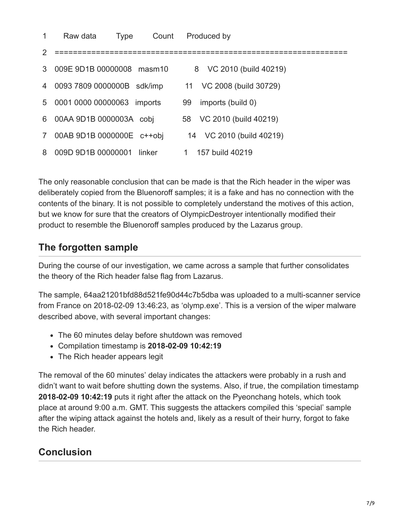| 1              | Raw data                  | <b>Type</b> | Count | Produced by                |
|----------------|---------------------------|-------------|-------|----------------------------|
| $\mathcal{P}$  |                           |             |       |                            |
| 3              | 009E 9D1B 00000008 masm10 |             |       | VC 2010 (build 40219)<br>8 |
| 4              | 0093 7809 0000000B        | sdk/imp     | 11    | VC 2008 (build 30729)      |
| 5              | 0001 0000 00000063        | imports     | 99    | imports (build 0)          |
| 6              | 00AA 9D1B 0000003A cobj   |             | 58    | VC 2010 (build 40219)      |
| $\overline{7}$ | 00AB 9D1B 0000000E c++obj |             |       | 14 VC 2010 (build 40219)   |
| 8              | 009D 9D1B 00000001        | linker      |       | 157 build 40219            |

The only reasonable conclusion that can be made is that the Rich header in the wiper was deliberately copied from the Bluenoroff samples; it is a fake and has no connection with the contents of the binary. It is not possible to completely understand the motives of this action, but we know for sure that the creators of OlympicDestroyer intentionally modified their product to resemble the Bluenoroff samples produced by the Lazarus group.

## **The forgotten sample**

During the course of our investigation, we came across a sample that further consolidates the theory of the Rich header false flag from Lazarus.

The sample, 64aa21201bfd88d521fe90d44c7b5dba was uploaded to a multi-scanner service from France on 2018-02-09 13:46:23, as 'olymp.exe'. This is a version of the wiper malware described above, with several important changes:

- The 60 minutes delay before shutdown was removed
- Compilation timestamp is **2018-02-09 10:42:19**
- The Rich header appears legit

The removal of the 60 minutes' delay indicates the attackers were probably in a rush and didn't want to wait before shutting down the systems. Also, if true, the compilation timestamp **2018-02-09 10:42:19** puts it right after the attack on the Pyeonchang hotels, which took place at around 9:00 a.m. GMT. This suggests the attackers compiled this 'special' sample after the wiping attack against the hotels and, likely as a result of their hurry, forgot to fake the Rich header.

## **Conclusion**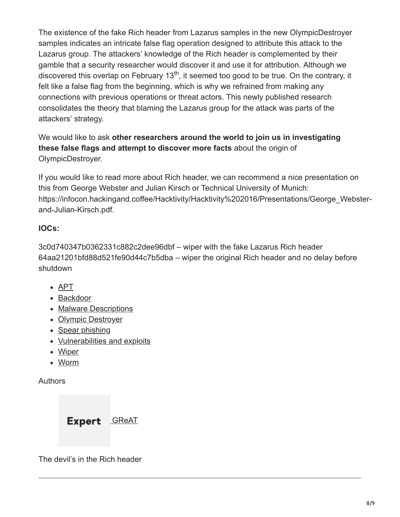The existence of the fake Rich header from Lazarus samples in the new OlympicDestroyer samples indicates an intricate false flag operation designed to attribute this attack to the Lazarus group. The attackers' knowledge of the Rich header is complemented by their gamble that a security researcher would discover it and use it for attribution. Although we discovered this overlap on February 13<sup>th</sup>, it seemed too good to be true. On the contrary, it felt like a false flag from the beginning, which is why we refrained from making any connections with previous operations or threat actors. This newly published research consolidates the theory that blaming the Lazarus group for the attack was parts of the attackers' strategy.

We would like to ask **other researchers around the world to join us in investigating these false flags and attempt to discover more facts** about the origin of OlympicDestroyer.

If you would like to read more about Rich header, we can recommend a nice presentation on this from George Webster and Julian Kirsch or Technical University of Munich: https://infocon.hackingand.coffee/Hacktivity/Hacktivity%202016/Presentations/George\_Websterand-Julian-Kirsch.pdf.

## **IOCs:**

3c0d740347b0362331c882c2dee96dbf – wiper with the fake Lazarus Rich header 64aa21201bfd88d521fe90d44c7b5dba – wiper the original Rich header and no delay before shutdown

- [APT](https://securelist.com/tag/apt/)
- [Backdoor](https://securelist.com/tag/backdoor/)
- [Malware Descriptions](https://securelist.com/tag/malware-descriptions/)
- [Olympic Destroyer](https://securelist.com/tag/olympic-destroyer/)
- [Spear phishing](https://securelist.com/tag/spear-phishing/)
- [Vulnerabilities and exploits](https://securelist.com/tag/vulnerabilities-and-exploits/)
- [Wiper](https://securelist.com/tag/wiper/)
- [Worm](https://securelist.com/tag/worm/)

Authors

Expert **[GReAT](https://securelist.com/author/great/)** 

The devil's in the Rich header